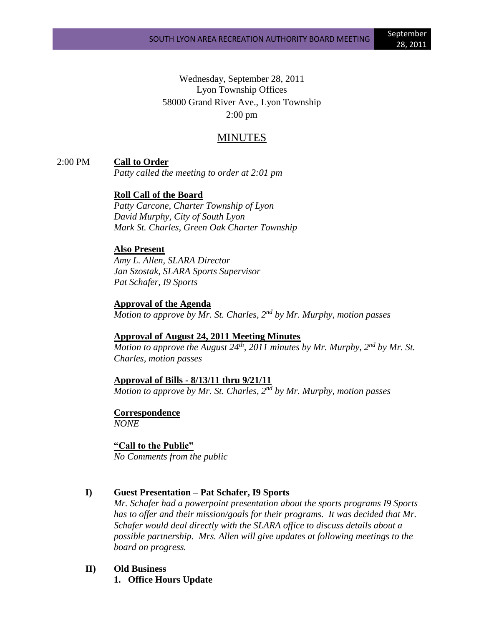Wednesday, September 28, 2011 Lyon Township Offices 58000 Grand River Ave., Lyon Township 2:00 pm

# MINUTES

2:00 PM **Call to Order**

*Patty called the meeting to order at 2:01 pm*

### **Roll Call of the Board**

*Patty Carcone, Charter Township of Lyon David Murphy, City of South Lyon Mark St. Charles, Green Oak Charter Township*

#### **Also Present**

*Amy L. Allen, SLARA Director Jan Szostak, SLARA Sports Supervisor Pat Schafer, I9 Sports*

#### **Approval of the Agenda**

*Motion to approve by Mr. St. Charles, 2nd by Mr. Murphy, motion passes*

### **Approval of August 24, 2011 Meeting Minutes**

*Motion to approve the August 24th, 2011 minutes by Mr. Murphy, 2nd by Mr. St. Charles, motion passes*

### **Approval of Bills - 8/13/11 thru 9/21/11**

Motion to approve by Mr. St. Charles, 2<sup>nd</sup> by Mr. Murphy, motion passes

**Correspondence** *NONE*

#### **"Call to the Public"**

*No Comments from the public*

### **I) Guest Presentation – Pat Schafer, I9 Sports**

*Mr. Schafer had a powerpoint presentation about the sports programs I9 Sports has to offer and their mission/goals for their programs. It was decided that Mr. Schafer would deal directly with the SLARA office to discuss details about a possible partnership. Mrs. Allen will give updates at following meetings to the board on progress.*

### **II) Old Business**

**1. Office Hours Update**